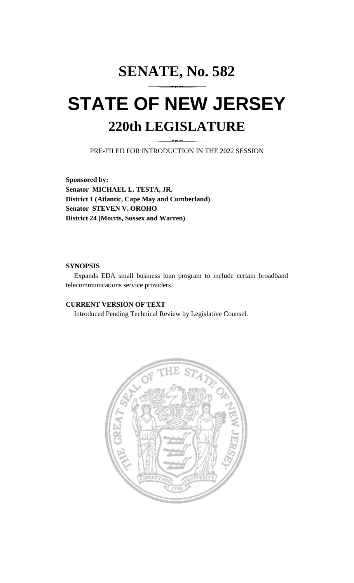# **SENATE, No. 582 STATE OF NEW JERSEY 220th LEGISLATURE**

PRE-FILED FOR INTRODUCTION IN THE 2022 SESSION

**Sponsored by: Senator MICHAEL L. TESTA, JR. District 1 (Atlantic, Cape May and Cumberland) Senator STEVEN V. OROHO District 24 (Morris, Sussex and Warren)**

## **SYNOPSIS**

Expands EDA small business loan program to include certain broadband telecommunications service providers.

# **CURRENT VERSION OF TEXT**

Introduced Pending Technical Review by Legislative Counsel.

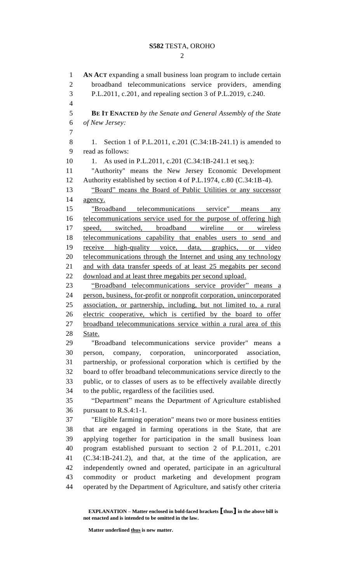### **S582** TESTA, OROHO

 $\mathcal{D}_{\mathcal{L}}$ 

 **AN ACT** expanding a small business loan program to include certain broadband telecommunications service providers, amending P.L.2011, c.201, and repealing section 3 of P.L.2019, c.240. **BE IT ENACTED** *by the Senate and General Assembly of the State of New Jersey:* 8 1. Section 1 of P.L.2011, c.201 (C.34:1B-241.1) is amended to read as follows: 10 1. As used in P.L.2011, c.201 (C.34:1B-241.1 et seq.): "Authority" means the New Jersey Economic Development Authority established by section 4 of P.L.1974, c.80 (C.34:1B-4). "Board" means the Board of Public Utilities or any successor agency. "Broadband telecommunications service" means any telecommunications service used for the purpose of offering high speed, switched, broadband wireline or wireless telecommunications capability that enables users to send and receive high-quality voice, data, graphics, or video 20 telecommunications through the Internet and using any technology and with data transfer speeds of at least 25 megabits per second download and at least three megabits per second upload. "Broadband telecommunications service provider" means a person, business, for-profit or nonprofit corporation, unincorporated association, or partnership, including, but not limited to, a rural electric cooperative, which is certified by the board to offer broadband telecommunications service within a rural area of this State. "Broadband telecommunications service provider" means a person, company, corporation, unincorporated association, partnership, or professional corporation which is certified by the board to offer broadband telecommunications service directly to the public, or to classes of users as to be effectively available directly to the public, regardless of the facilities used. "Department" means the Department of Agriculture established pursuant to R.S.4:1-1. "Eligible farming operation" means two or more business entities that are engaged in farming operations in the State, that are applying together for participation in the small business loan program established pursuant to section 2 of P.L.2011, c.201 (C.34:1B-241.2), and that, at the time of the application, are independently owned and operated, participate in an agricultural commodity or product marketing and development program operated by the Department of Agriculture, and satisfy other criteria

**Matter underlined thus is new matter.**

**EXPLANATION – Matter enclosed in bold-faced brackets [thus] in the above bill is not enacted and is intended to be omitted in the law.**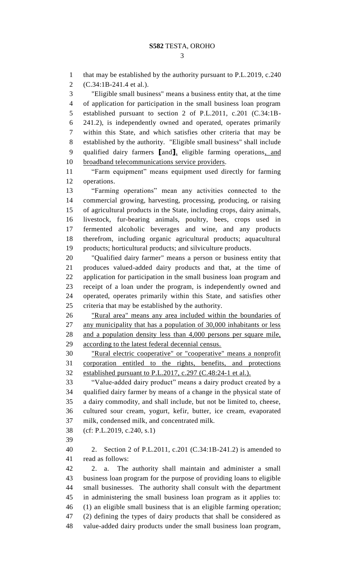that may be established by the authority pursuant to P.L.2019, c.240 (C.34:1B-241.4 et al.). "Eligible small business" means a business entity that, at the time of application for participation in the small business loan program established pursuant to section 2 of P.L.2011, c.201 (C.34:1B- 241.2), is independently owned and operated, operates primarily within this State, and which satisfies other criteria that may be established by the authority. "Eligible small business" shall include qualified dairy farmers **[**and**]**, eligible farming operations, and broadband telecommunications service providers. "Farm equipment" means equipment used directly for farming operations. "Farming operations" mean any activities connected to the commercial growing, harvesting, processing, producing, or raising of agricultural products in the State, including crops, dairy animals, livestock, fur-bearing animals, poultry, bees, crops used in fermented alcoholic beverages and wine, and any products therefrom, including organic agricultural products; aquacultural products; horticultural products; and silviculture products. "Qualified dairy farmer" means a person or business entity that produces valued-added dairy products and that, at the time of application for participation in the small business loan program and receipt of a loan under the program, is independently owned and operated, operates primarily within this State, and satisfies other criteria that may be established by the authority. "Rural area" means any area included within the boundaries of any municipality that has a population of 30,000 inhabitants or less and a population density less than 4,000 persons per square mile, according to the latest federal decennial census. "Rural electric cooperative" or "cooperative" means a nonprofit corporation entitled to the rights, benefits, and protections 32 established pursuant to P.L.2017, c.297 (C.48:24-1 et al.). "Value-added dairy product" means a dairy product created by a qualified dairy farmer by means of a change in the physical state of a dairy commodity, and shall include, but not be limited to, cheese, cultured sour cream, yogurt, kefir, butter, ice cream, evaporated milk, condensed milk, and concentrated milk. (cf: P.L.2019, c.240, s.1) 2. Section 2 of P.L.2011, c.201 (C.34:1B-241.2) is amended to read as follows: 2. a. The authority shall maintain and administer a small business loan program for the purpose of providing loans to eligible small businesses. The authority shall consult with the department in administering the small business loan program as it applies to: (1) an eligible small business that is an eligible farming operation; (2) defining the types of dairy products that shall be considered as value-added dairy products under the small business loan program,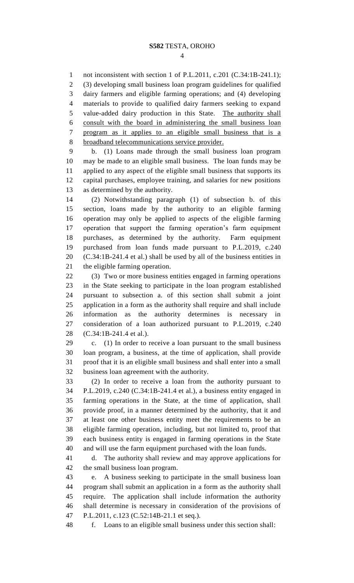not inconsistent with section 1 of P.L.2011, c.201 (C.34:1B-241.1); (3) developing small business loan program guidelines for qualified dairy farmers and eligible farming operations; and (4) developing materials to provide to qualified dairy farmers seeking to expand value-added dairy production in this State. The authority shall consult with the board in administering the small business loan program as it applies to an eligible small business that is a 8 broadband telecommunications service provider.

 b. (1) Loans made through the small business loan program may be made to an eligible small business. The loan funds may be applied to any aspect of the eligible small business that supports its capital purchases, employee training, and salaries for new positions as determined by the authority.

 (2) Notwithstanding paragraph (1) of subsection b. of this section, loans made by the authority to an eligible farming operation may only be applied to aspects of the eligible farming operation that support the farming operation's farm equipment purchases, as determined by the authority. Farm equipment purchased from loan funds made pursuant to P.L.2019, c.240 (C.34:1B-241.4 et al.) shall be used by all of the business entities in the eligible farming operation.

 (3) Two or more business entities engaged in farming operations in the State seeking to participate in the loan program established pursuant to subsection a. of this section shall submit a joint application in a form as the authority shall require and shall include information as the authority determines is necessary in consideration of a loan authorized pursuant to P.L.2019, c.240 (C.34:1B-241.4 et al.).

 c. (1) In order to receive a loan pursuant to the small business loan program, a business, at the time of application, shall provide proof that it is an eligible small business and shall enter into a small business loan agreement with the authority.

 (2) In order to receive a loan from the authority pursuant to P.L.2019, c.240 (C.34:1B-241.4 et al.), a business entity engaged in farming operations in the State, at the time of application, shall provide proof, in a manner determined by the authority, that it and at least one other business entity meet the requirements to be an eligible farming operation, including, but not limited to, proof that each business entity is engaged in farming operations in the State and will use the farm equipment purchased with the loan funds.

 d. The authority shall review and may approve applications for the small business loan program.

 e. A business seeking to participate in the small business loan program shall submit an application in a form as the authority shall require. The application shall include information the authority shall determine is necessary in consideration of the provisions of 47 P.L.2011, c.123 (C.52:14B-21.1 et seq.).

f. Loans to an eligible small business under this section shall: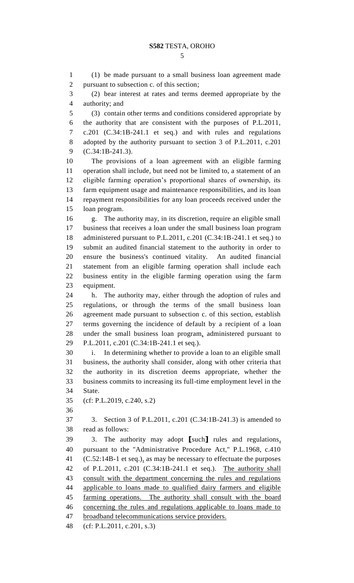(1) be made pursuant to a small business loan agreement made pursuant to subsection c. of this section;

 (2) bear interest at rates and terms deemed appropriate by the authority; and

 (3) contain other terms and conditions considered appropriate by the authority that are consistent with the purposes of P.L.2011, c.201 (C.34:1B-241.1 et seq.) and with rules and regulations adopted by the authority pursuant to section 3 of P.L.2011, c.201 (C.34:1B-241.3).

 The provisions of a loan agreement with an eligible farming operation shall include, but need not be limited to, a statement of an eligible farming operation's proportional shares of ownership, its farm equipment usage and maintenance responsibilities, and its loan repayment responsibilities for any loan proceeds received under the loan program.

 g. The authority may, in its discretion, require an eligible small business that receives a loan under the small business loan program administered pursuant to P.L.2011, c.201 (C.34:1B-241.1 et seq.) to submit an audited financial statement to the authority in order to ensure the business's continued vitality. An audited financial statement from an eligible farming operation shall include each business entity in the eligible farming operation using the farm equipment.

 h. The authority may, either through the adoption of rules and regulations, or through the terms of the small business loan agreement made pursuant to subsection c. of this section, establish terms governing the incidence of default by a recipient of a loan under the small business loan program, administered pursuant to P.L.2011, c.201 (C.34:1B-241.1 et seq.).

 i. In determining whether to provide a loan to an eligible small business, the authority shall consider, along with other criteria that the authority in its discretion deems appropriate, whether the business commits to increasing its full-time employment level in the State.

(cf: P.L.2019, c.240, s.2)

 3. Section 3 of P.L.2011, c.201 (C.34:1B-241.3) is amended to read as follows:

 3. The authority may adopt **[**such**]** rules and regulations, pursuant to the "Administrative Procedure Act," P.L.1968, c.410 (C.52:14B-1 et seq.), as may be necessary to effectuate the purposes of P.L.2011, c.201 (C.34:1B-241.1 et seq.). The authority shall consult with the department concerning the rules and regulations applicable to loans made to qualified dairy farmers and eligible farming operations. The authority shall consult with the board concerning the rules and regulations applicable to loans made to broadband telecommunications service providers.

(cf: P.L.2011, c.201, s.3)